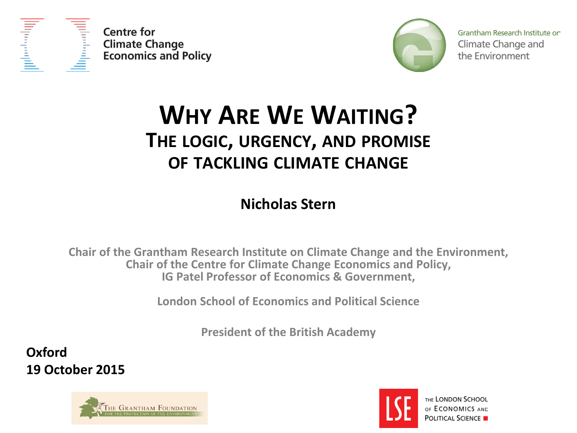



Grantham Research Institute on Climate Change and the Environment

### **WHY ARE WE WAITING? THE LOGIC, URGENCY, AND PROMISE OF TACKLING CLIMATE CHANGE**

**Nicholas Stern**

**Chair of the Grantham Research Institute on Climate Change and the Environment, Chair of the Centre for Climate Change Economics and Policy, IG Patel Professor of Economics & Government,**

**London School of Economics and Political Science** 

**President of the British Academy**

**Oxford 19 October 2015**





THE LONDON SCHOOL OF ECONOMICS AND **POLITICAL SCIENCE**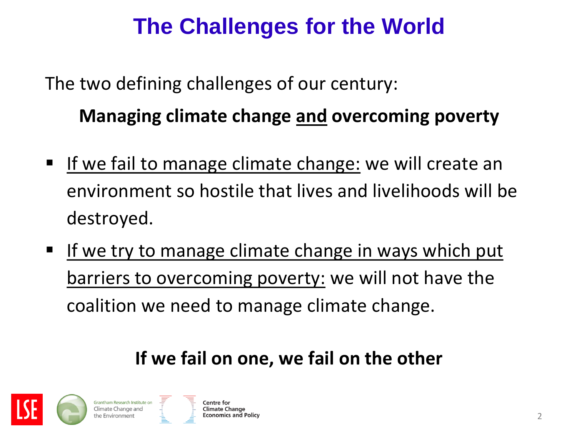### **The Challenges for the World**

The two defining challenges of our century: **Managing climate change and overcoming poverty**

- If we fail to manage climate change: we will create an environment so hostile that lives and livelihoods will be destroyed.
- If we try to manage climate change in ways which put barriers to overcoming poverty: we will not have the coalition we need to manage climate change.

#### **If we fail on one, we fail on the other**

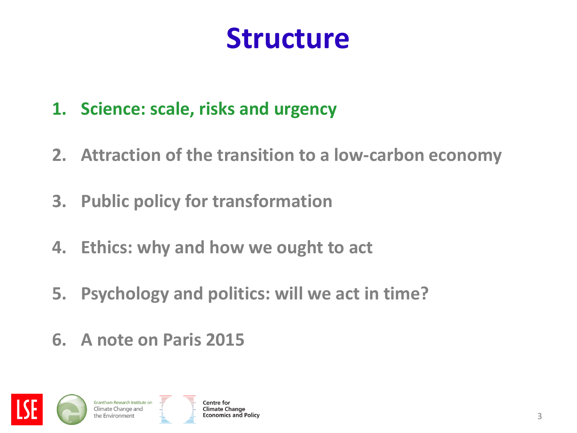# **Structure**

- **1. Science: scale, risks and urgency**
- **2. Attraction of the transition to a low-carbon economy**
- **3. Public policy for transformation**
- **4. Ethics: why and how we ought to act**
- **5. Psychology and politics: will we act in time?**
- **6. A note on Paris 2015**

Grantham Research Institute on Climate Change and

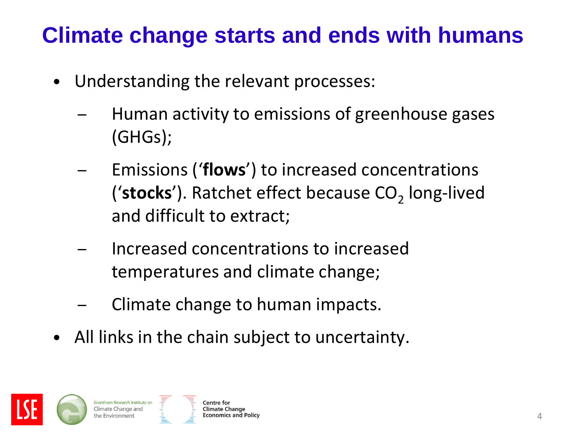### **Climate change starts and ends with humans**

- Understanding the relevant processes:
	- Human activity to emissions of greenhouse gases (GHGs);
	- Emissions ('**flows**') to increased concentrations ('stocks'). Ratchet effect because CO<sub>2</sub> long-lived and difficult to extract;
	- Increased concentrations to increased temperatures and climate change;
	- Climate change to human impacts.
- All links in the chain subject to uncertainty.



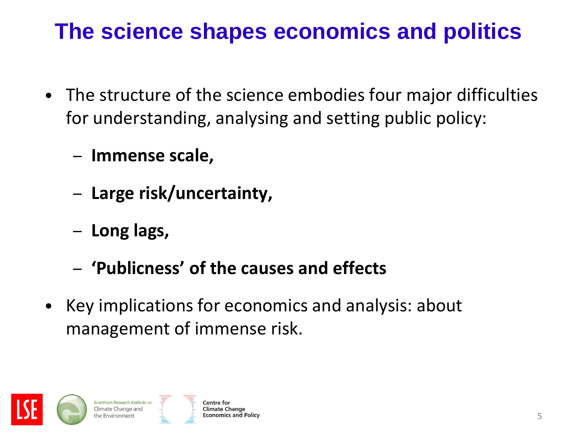### **The science shapes economics and politics**

- The structure of the science embodies four major difficulties for understanding, analysing and setting public policy:
	- **Immense scale,**
	- **Large risk/uncertainty,**
	- **Long lags,**
	- **'Publicness' of the causes and effects**
- Key implications for economics and analysis: about management of immense risk.



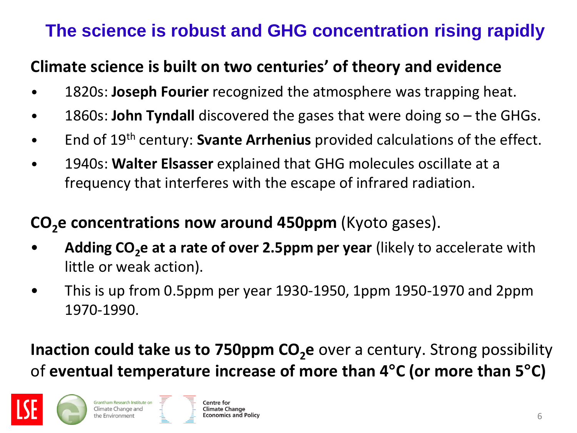#### **The science is robust and GHG concentration rising rapidly**

#### **Climate science is built on two centuries' of theory and evidence**

- 1820s: **Joseph Fourier** recognized the atmosphere was trapping heat.
- 1860s: **John Tyndall** discovered the gases that were doing so the GHGs.
- End of 19th century: **Svante Arrhenius** provided calculations of the effect.
- 1940s: **Walter Elsasser** explained that GHG molecules oscillate at a frequency that interferes with the escape of infrared radiation.

#### **CO<sub>2</sub>e concentrations now around 450ppm** (Kyoto gases).

- Adding CO<sub>2</sub>e at a rate of over 2.5ppm per year (likely to accelerate with little or weak action).
- This is up from 0.5ppm per year 1930-1950, 1ppm 1950-1970 and 2ppm 1970-1990.

**Inaction could take us to 750ppm CO<sub>2</sub>e** over a century. Strong possibility of **eventual temperature increase of more than 4°C (or more than 5°C)**

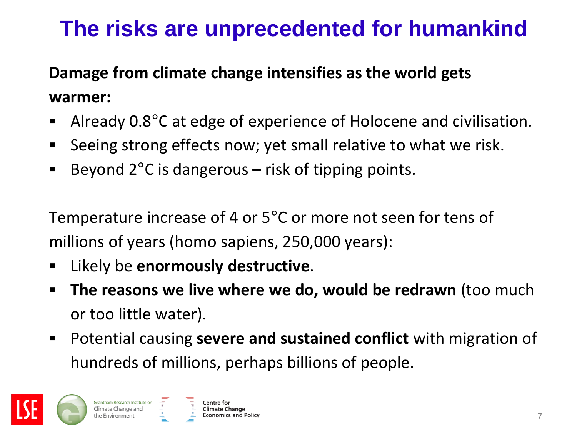### **The risks are unprecedented for humankind**

#### **Damage from climate change intensifies as the world gets warmer:**

- Already 0.8°C at edge of experience of Holocene and civilisation.
- **Seeing strong effects now; yet small relative to what we risk.**
- Beyond  $2^{\circ}$ C is dangerous risk of tipping points.

Temperature increase of 4 or 5°C or more not seen for tens of millions of years (homo sapiens, 250,000 years):

- Likely be **enormously destructive**.
- **The reasons we live where we do, would be redrawn** (too much or too little water).
- Potential causing **severe and sustained conflict** with migration of hundreds of millions, perhaps billions of people.

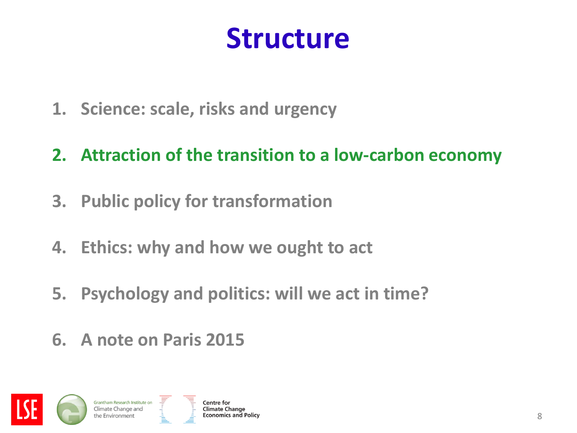# **Structure**

- **1. Science: scale, risks and urgency**
- **2. Attraction of the transition to a low-carbon economy**
- **3. Public policy for transformation**
- **4. Ethics: why and how we ought to act**
- **5. Psychology and politics: will we act in time?**
- **6. A note on Paris 2015**

Grantham Research Institute on Climate Change and

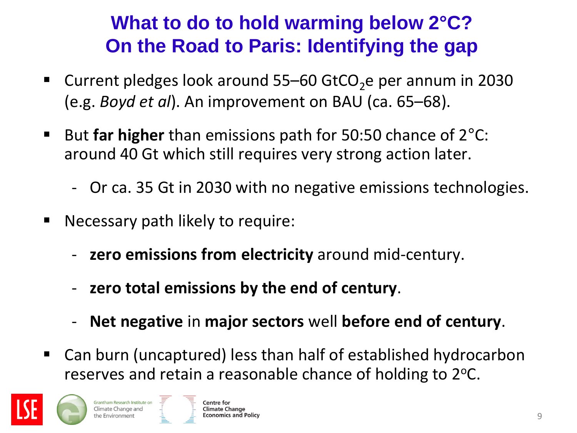#### **What to do to hold warming below 2°C? On the Road to Paris: Identifying the gap**

- **Current pledges look around 55–60 GtCO<sub>2</sub>e per annum in 2030** (e.g. *Boyd et al*). An improvement on BAU (ca. 65–68).
- But **far higher** than emissions path for 50:50 chance of 2<sup>o</sup>C: around 40 Gt which still requires very strong action later.
	- Or ca. 35 Gt in 2030 with no negative emissions technologies.
- **Necessary path likely to require:** 
	- **zero emissions from electricity** around mid-century.
	- **zero total emissions by the end of century**.
	- **Net negative** in **major sectors** well **before end of century**.
- Can burn (uncaptured) less than half of established hydrocarbon reserves and retain a reasonable chance of holding to  $2^{\circ}$ C.

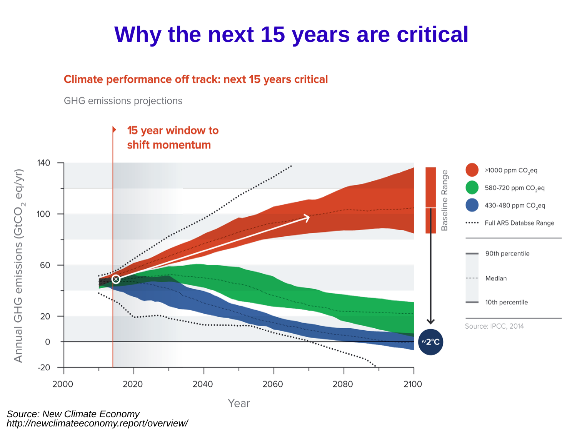### **Why the next 15 years are critical**

#### **Climate performance off track: next 15 years critical**

GHG emissions projections



*Source: New Climate Economy http://newclimateeconomy.report/overview/*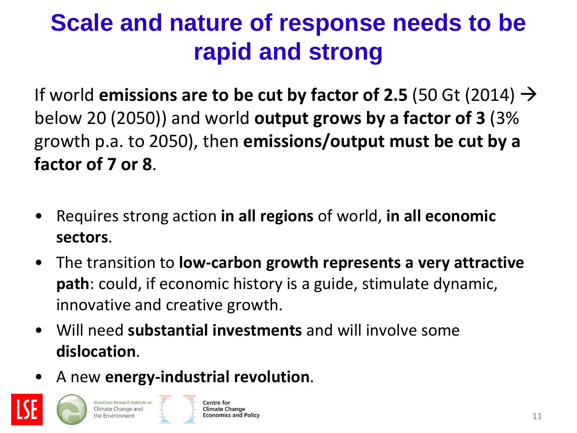# **Scale and nature of response needs to be rapid and strong**

If world **emissions are to be cut by factor of 2.5** (50 Gt (2014)  $\rightarrow$ below 20 (2050)) and world **output grows by a factor of 3** (3% growth p.a. to 2050), then **emissions/output must be cut by a factor of 7 or 8**.

- Requires strong action **in all regions** of world, **in all economic sectors**.
- The transition to **low-carbon growth represents a very attractive path**: could, if economic history is a guide, stimulate dynamic, innovative and creative growth.
- Will need **substantial investments** and will involve some **dislocation**.
- A new **energy-industrial revolution**.

Grantham Research Institute on

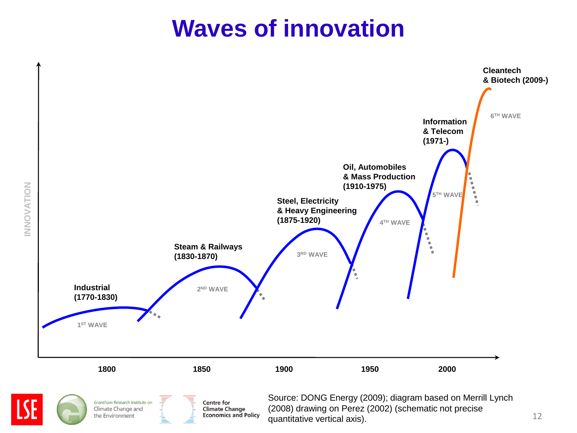### **Waves of innovation**

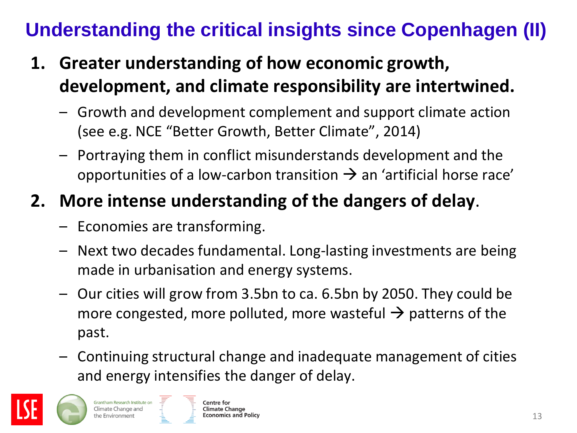### **Understanding the critical insights since Copenhagen (II)**

- **1. Greater understanding of how economic growth, development, and climate responsibility are intertwined.**
	- Growth and development complement and support climate action (see e.g. NCE "Better Growth, Better Climate", 2014)
	- Portraying them in conflict misunderstands development and the opportunities of a low-carbon transition  $\rightarrow$  an 'artificial horse race'

#### **2. More intense understanding of the dangers of delay**.

- Economies are transforming.
- Next two decades fundamental. Long-lasting investments are being made in urbanisation and energy systems.
- Our cities will grow from 3.5bn to ca. 6.5bn by 2050. They could be more congested, more polluted, more wasteful  $\rightarrow$  patterns of the past.
- Continuing structural change and inadequate management of cities and energy intensifies the danger of delay.

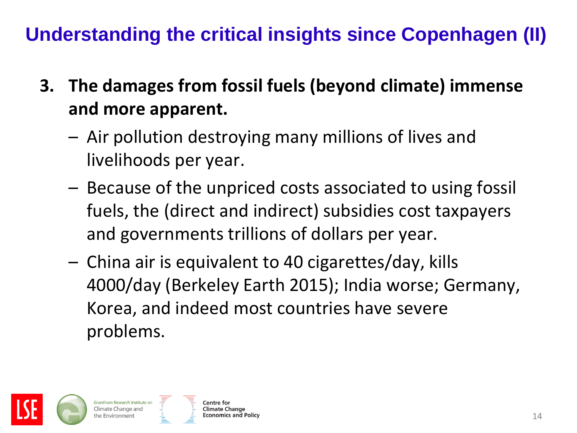#### **Understanding the critical insights since Copenhagen (II)**

- **3. The damages from fossil fuels (beyond climate) immense and more apparent.**
	- Air pollution destroying many millions of lives and livelihoods per year.
	- Because of the unpriced costs associated to using fossil fuels, the (direct and indirect) subsidies cost taxpayers and governments trillions of dollars per year.
	- China air is equivalent to 40 cigarettes/day, kills 4000/day (Berkeley Earth 2015); India worse; Germany, Korea, and indeed most countries have severe problems.

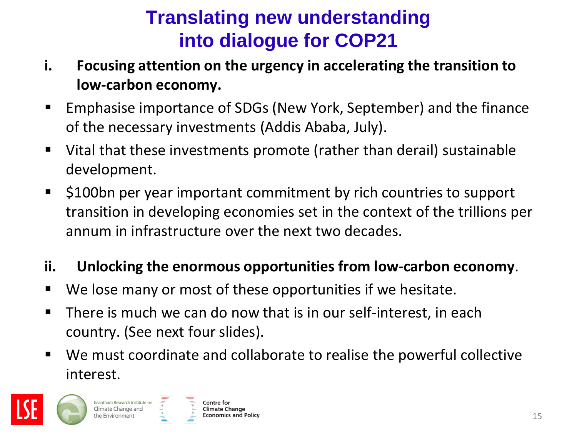#### **Translating new understanding into dialogue for COP21**

- **i. Focusing attention on the urgency in accelerating the transition to low-carbon economy.**
- **Emphasise importance of SDGs (New York, September) and the finance** of the necessary investments (Addis Ababa, July).
- Vital that these investments promote (rather than derail) sustainable development.
- **5100bn per year important commitment by rich countries to support** transition in developing economies set in the context of the trillions per annum in infrastructure over the next two decades.

#### **ii. Unlocking the enormous opportunities from low-carbon economy**.

- We lose many or most of these opportunities if we hesitate.
- **There is much we can do now that is in our self-interest, in each** country. (See next four slides).
- We must coordinate and collaborate to realise the powerful collective interest.



Grantham Research Institute on

Climate Change and

the Environmen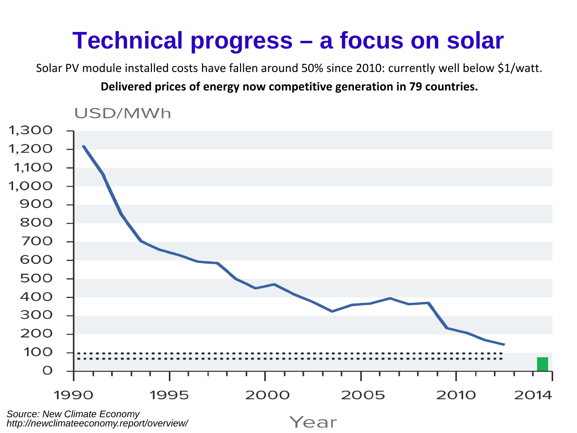# **Technical progress – a focus on solar**

Solar PV module installed costs have fallen around 50% since 2010: currently well below \$1/watt.

**Delivered prices of energy now competitive generation in 79 countries.**



*http://newclimateeconomy.report/overview/*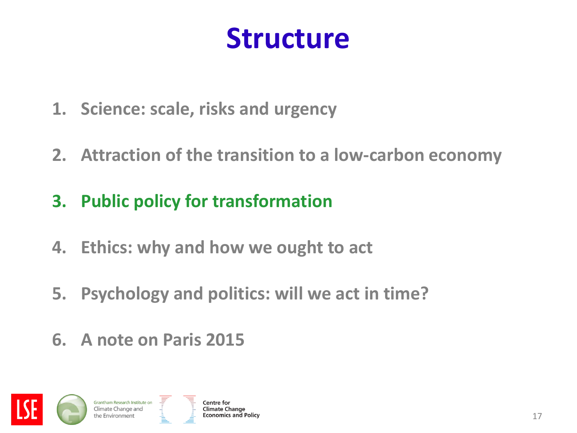# **Structure**

- **1. Science: scale, risks and urgency**
- **2. Attraction of the transition to a low-carbon economy**
- **3. Public policy for transformation**
- **4. Ethics: why and how we ought to act**
- **5. Psychology and politics: will we act in time?**
- **6. A note on Paris 2015**

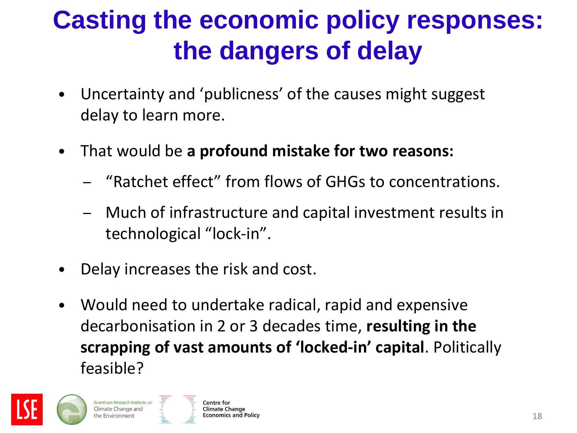# **Casting the economic policy responses: the dangers of delay**

- Uncertainty and 'publicness' of the causes might suggest delay to learn more.
- That would be **a profound mistake for two reasons:**
	- "Ratchet effect" from flows of GHGs to concentrations.
	- Much of infrastructure and capital investment results in technological "lock-in".
- Delay increases the risk and cost.
- Would need to undertake radical, rapid and expensive decarbonisation in 2 or 3 decades time, **resulting in the scrapping of vast amounts of 'locked-in' capital**. Politically feasible?

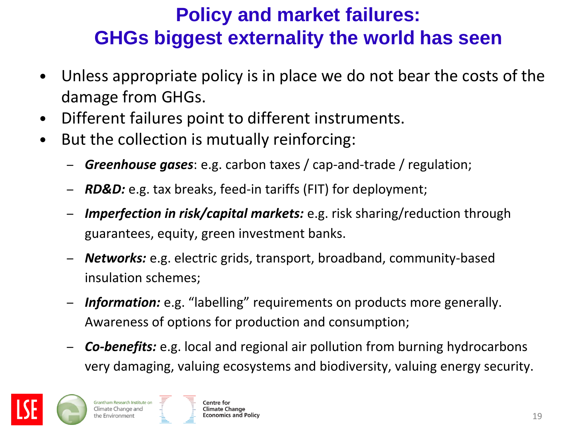#### **Policy and market failures: GHGs biggest externality the world has seen**

- Unless appropriate policy is in place we do not bear the costs of the damage from GHGs.
- Different failures point to different instruments.
- But the collection is mutually reinforcing:
	- *Greenhouse gases*: e.g. carbon taxes / cap-and-trade / regulation;
	- *RD&D:* e.g. tax breaks, feed-in tariffs (FIT) for deployment;
	- *Imperfection in risk/capital markets:* e.g. risk sharing/reduction through guarantees, equity, green investment banks.
	- *Networks:* e.g. electric grids, transport, broadband, community-based insulation schemes;
	- *Information:* e.g. "labelling" requirements on products more generally. Awareness of options for production and consumption;
	- *Co-benefits:* e.g. local and regional air pollution from burning hydrocarbons very damaging, valuing ecosystems and biodiversity, valuing energy security.

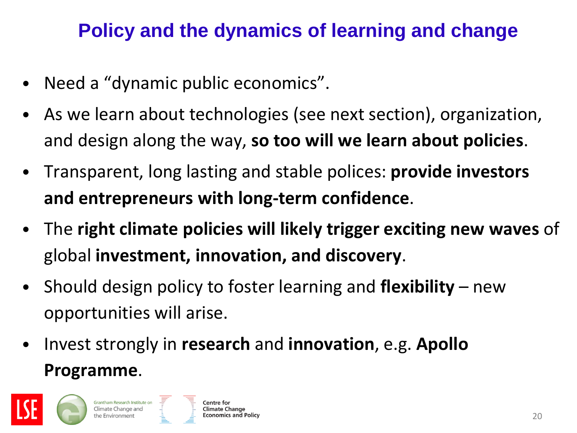#### **Policy and the dynamics of learning and change**

- Need a "dynamic public economics".
- As we learn about technologies (see next section), organization, and design along the way, **so too will we learn about policies**.
- Transparent, long lasting and stable polices: **provide investors and entrepreneurs with long-term confidence**.
- The **right climate policies will likely trigger exciting new waves** of global **investment, innovation, and discovery**.
- Should design policy to foster learning and **flexibility** new opportunities will arise.
- Invest strongly in **research** and **innovation**, e.g. **Apollo Programme**.

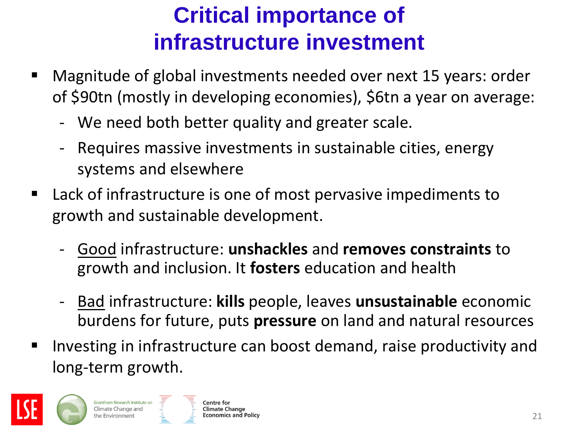### **Critical importance of infrastructure investment**

- Magnitude of global investments needed over next 15 years: order of \$90tn (mostly in developing economies), \$6tn a year on average:
	- We need both better quality and greater scale.
	- Requires massive investments in sustainable cities, energy systems and elsewhere
- Lack of infrastructure is one of most pervasive impediments to growth and sustainable development.
	- Good infrastructure: **unshackles** and **removes constraints** to growth and inclusion. It **fosters** education and health
	- Bad infrastructure: **kills** people, leaves **unsustainable** economic burdens for future, puts **pressure** on land and natural resources
- **IF** Investing in infrastructure can boost demand, raise productivity and long-term growth.



Grantham Research Institute on

the Environmer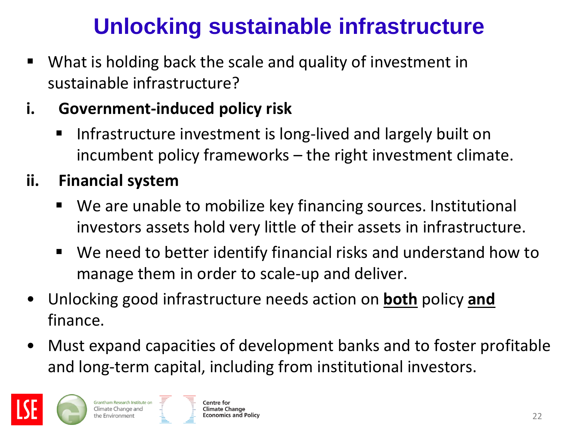### **Unlocking sustainable infrastructure**

- What is holding back the scale and quality of investment in sustainable infrastructure?
- **i. Government-induced policy risk**
	- **IF Infrastructure investment is long-lived and largely built on** incumbent policy frameworks – the right investment climate.
- **ii. Financial system**
	- We are unable to mobilize key financing sources. Institutional investors assets hold very little of their assets in infrastructure.
	- We need to better identify financial risks and understand how to manage them in order to scale-up and deliver.
- Unlocking good infrastructure needs action on **both** policy **and** finance.
- Must expand capacities of development banks and to foster profitable and long-term capital, including from institutional investors.

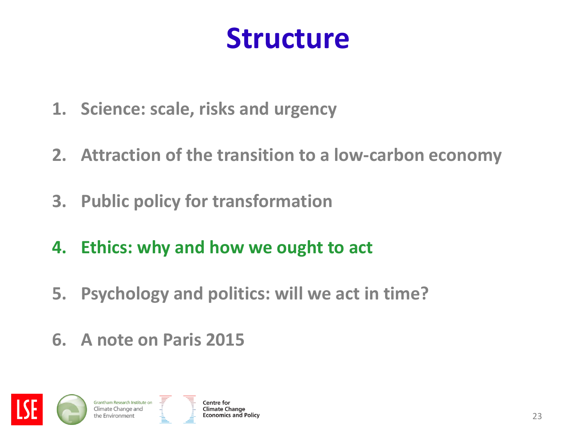# **Structure**

- **1. Science: scale, risks and urgency**
- **2. Attraction of the transition to a low-carbon economy**
- **3. Public policy for transformation**
- **4. Ethics: why and how we ought to act**
- **5. Psychology and politics: will we act in time?**
- **6. A note on Paris 2015**

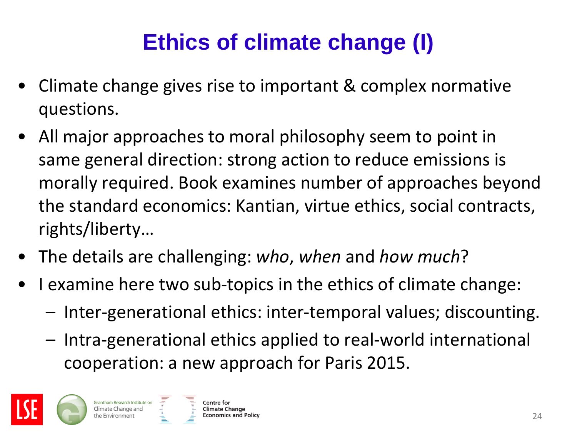# **Ethics of climate change (I)**

- Climate change gives rise to important & complex normative questions.
- All major approaches to moral philosophy seem to point in same general direction: strong action to reduce emissions is morally required. Book examines number of approaches beyond the standard economics: Kantian, virtue ethics, social contracts, rights/liberty…
- The details are challenging: *who*, *when* and *how much*?
- I examine here two sub-topics in the ethics of climate change:
	- Inter-generational ethics: inter-temporal values; discounting.
	- Intra-generational ethics applied to real-world international cooperation: a new approach for Paris 2015.



Grantham Research Institute on

Climate Change and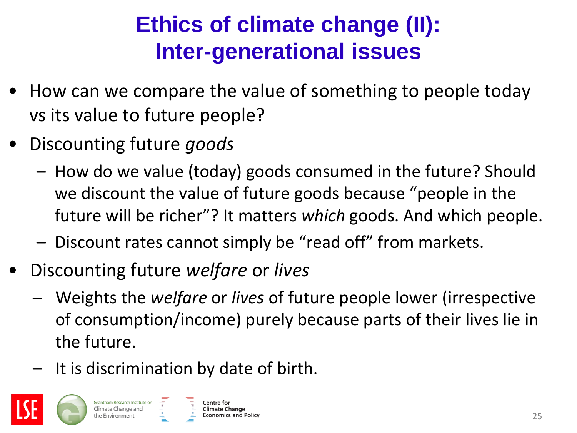### **Ethics of climate change (II): Inter-generational issues**

- How can we compare the value of something to people today vs its value to future people?
- Discounting future *goods*

Grantham Research Institute on

- How do we value (today) goods consumed in the future? Should we discount the value of future goods because "people in the future will be richer"? It matters *which* goods. And which people.
- Discount rates cannot simply be "read off" from markets.
- Discounting future *welfare* or *lives*
	- Weights the *welfare* or *lives* of future people lower (irrespective of consumption/income) purely because parts of their lives lie in the future.
	- It is discrimination by date of birth.

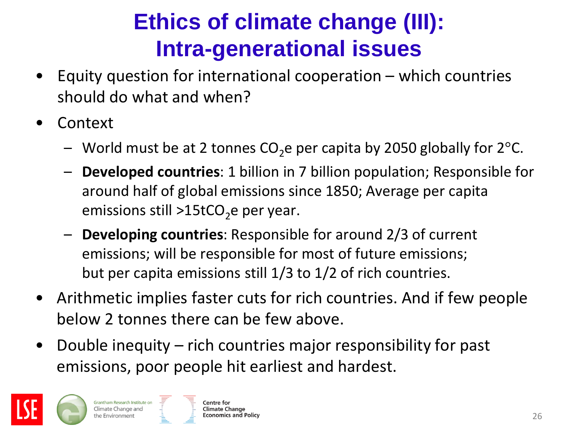### **Ethics of climate change (III): Intra-generational issues**

- Equity question for international cooperation  $-$  which countries should do what and when?
- **Context** 
	- World must be at 2 tonnes  $CO<sub>2</sub>$ e per capita by 2050 globally for 2°C.
	- **Developed countries**: 1 billion in 7 billion population; Responsible for around half of global emissions since 1850; Average per capita emissions still >15tCO<sub>2</sub>e per year.
	- **Developing countries**: Responsible for around 2/3 of current emissions; will be responsible for most of future emissions; but per capita emissions still 1/3 to 1/2 of rich countries.
- Arithmetic implies faster cuts for rich countries. And if few people below 2 tonnes there can be few above.
- Double inequity rich countries major responsibility for past emissions, poor people hit earliest and hardest.



Grantham Research Institute on

Climate Change and

the Environmen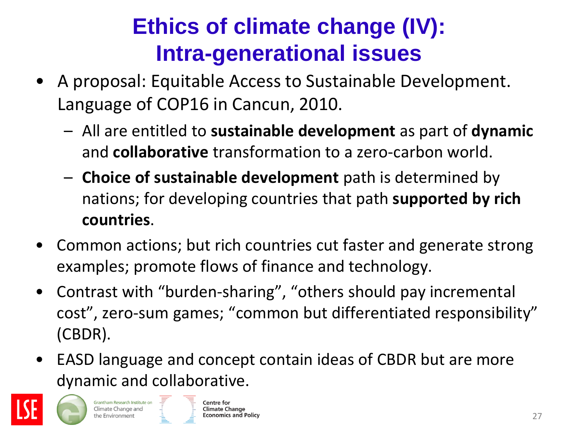### **Ethics of climate change (IV): Intra-generational issues**

- A proposal: Equitable Access to Sustainable Development. Language of COP16 in Cancun, 2010.
	- All are entitled to **sustainable development** as part of **dynamic** and **collaborative** transformation to a zero-carbon world.
	- **Choice of sustainable development** path is determined by nations; for developing countries that path **supported by rich countries**.
- Common actions; but rich countries cut faster and generate strong examples; promote flows of finance and technology.
- Contrast with "burden-sharing", "others should pay incremental cost", zero-sum games; "common but differentiated responsibility" (CBDR).
- EASD language and concept contain ideas of CBDR but are more dynamic and collaborative.



Grantham Research Institute on Climate Change and

the Environmen<sup>.</sup>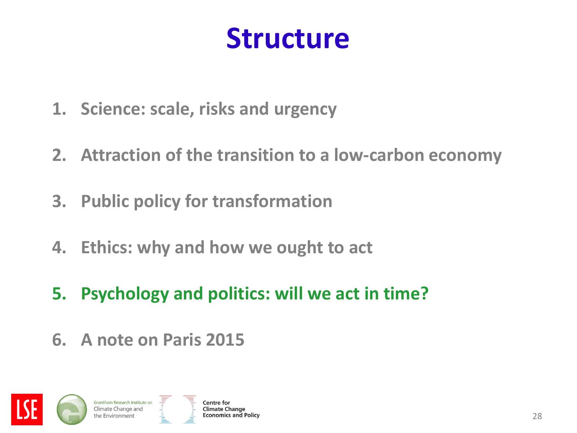# **Structure**

- **1. Science: scale, risks and urgency**
- **2. Attraction of the transition to a low-carbon economy**
- **3. Public policy for transformation**
- **4. Ethics: why and how we ought to act**
- **5. Psychology and politics: will we act in time?**
- **6. A note on Paris 2015**

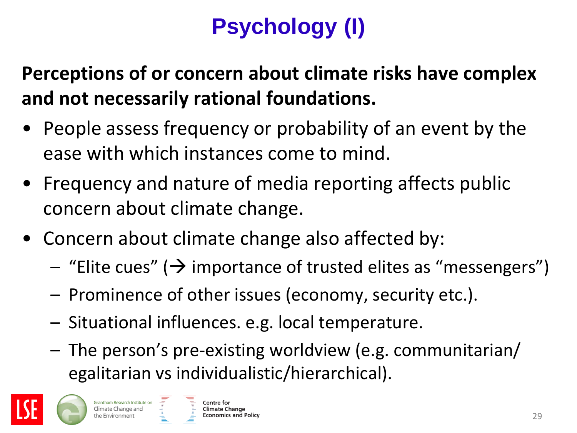# **Psychology (I)**

**Perceptions of or concern about climate risks have complex and not necessarily rational foundations.**

- People assess frequency or probability of an event by the ease with which instances come to mind.
- Frequency and nature of media reporting affects public concern about climate change.
- Concern about climate change also affected by:
	- $-$  "Elite cues" ( $\rightarrow$  importance of trusted elites as "messengers")
	- Prominence of other issues (economy, security etc.).
	- Situational influences. e.g. local temperature.
	- The person's pre-existing worldview (e.g. communitarian/ egalitarian vs individualistic/hierarchical).



Grantham Research Institute on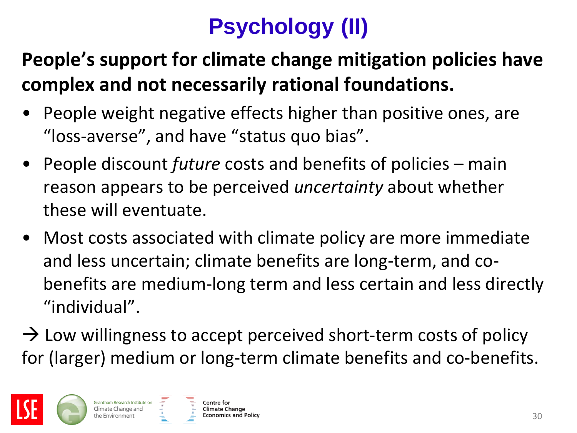# **Psychology (II)**

#### **People's support for climate change mitigation policies have complex and not necessarily rational foundations.**

- People weight negative effects higher than positive ones, are "loss-averse", and have "status quo bias".
- People discount *future* costs and benefits of policies main reason appears to be perceived *uncertainty* about whether these will eventuate.
- Most costs associated with climate policy are more immediate and less uncertain; climate benefits are long-term, and cobenefits are medium-long term and less certain and less directly "individual".
- $\rightarrow$  Low willingness to accept perceived short-term costs of policy for (larger) medium or long-term climate benefits and co-benefits.



Grantham Research Institute on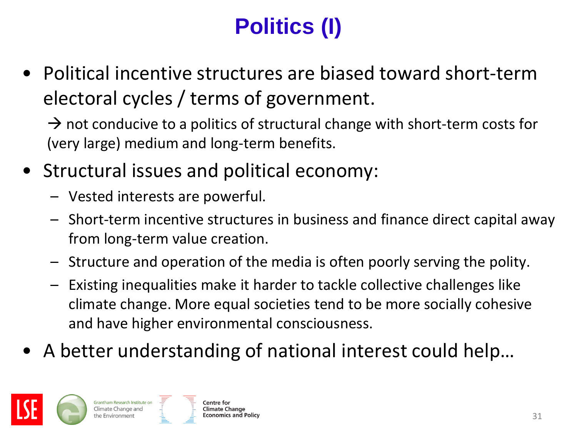# **Politics (I)**

• Political incentive structures are biased toward short-term electoral cycles / terms of government.

 $\rightarrow$  not conducive to a politics of structural change with short-term costs for (very large) medium and long-term benefits.

- Structural issues and political economy:
	- Vested interests are powerful.
	- Short-term incentive structures in business and finance direct capital away from long-term value creation.
	- Structure and operation of the media is often poorly serving the polity.
	- Existing inequalities make it harder to tackle collective challenges like climate change. More equal societies tend to be more socially cohesive and have higher environmental consciousness.
- A better understanding of national interest could help…



Grantham Research Institute on Climate Change and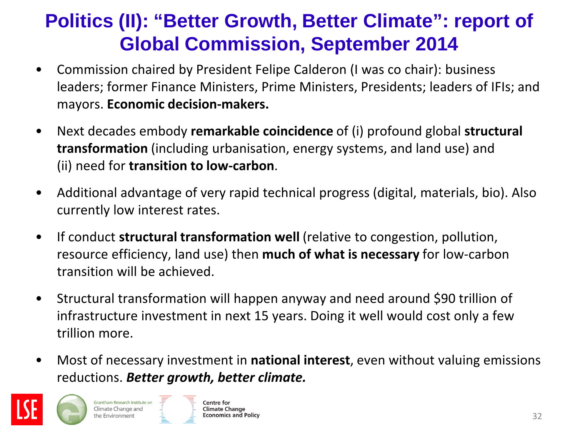#### **Politics (II): "Better Growth, Better Climate": report of Global Commission, September 2014**

- Commission chaired by President Felipe Calderon (I was co chair): business leaders; former Finance Ministers, Prime Ministers, Presidents; leaders of IFIs; and mayors. **Economic decision-makers.**
- Next decades embody **remarkable coincidence** of (i) profound global **structural transformation** (including urbanisation, energy systems, and land use) and (ii) need for **transition to low-carbon**.
- Additional advantage of very rapid technical progress (digital, materials, bio). Also currently low interest rates.
- If conduct **structural transformation well** (relative to congestion, pollution, resource efficiency, land use) then **much of what is necessary** for low-carbon transition will be achieved.
- Structural transformation will happen anyway and need around \$90 trillion of infrastructure investment in next 15 years. Doing it well would cost only a few trillion more.
- Most of necessary investment in **national interest**, even without valuing emissions reductions. *Better growth, better climate.*

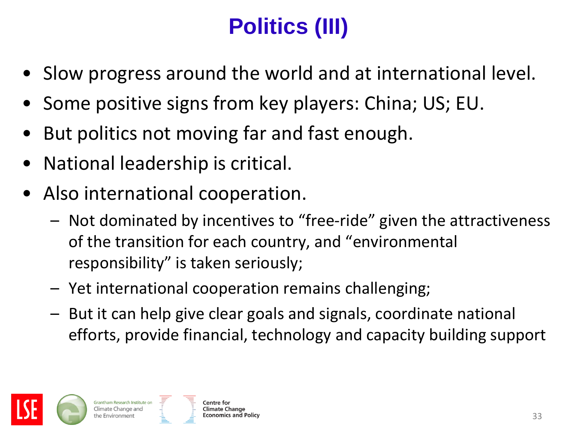# **Politics (III)**

- Slow progress around the world and at international level.
- Some positive signs from key players: China; US; EU.
- But politics not moving far and fast enough.
- National leadership is critical.
- Also international cooperation.
	- Not dominated by incentives to "free-ride" given the attractiveness of the transition for each country, and "environmental responsibility" is taken seriously;
	- Yet international cooperation remains challenging;
	- But it can help give clear goals and signals, coordinate national efforts, provide financial, technology and capacity building support

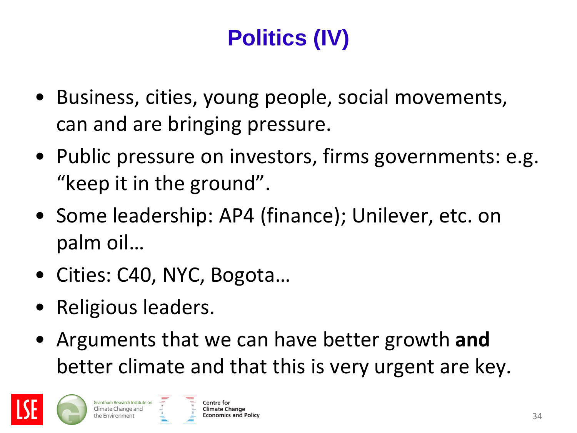# **Politics (IV)**

- Business, cities, young people, social movements, can and are bringing pressure.
- Public pressure on investors, firms governments: e.g. "keep it in the ground".
- Some leadership: AP4 (finance); Unilever, etc. on palm oil…
- Cities: C40, NYC, Bogota…
- Religious leaders.
- Arguments that we can have better growth **and** better climate and that this is very urgent are key.

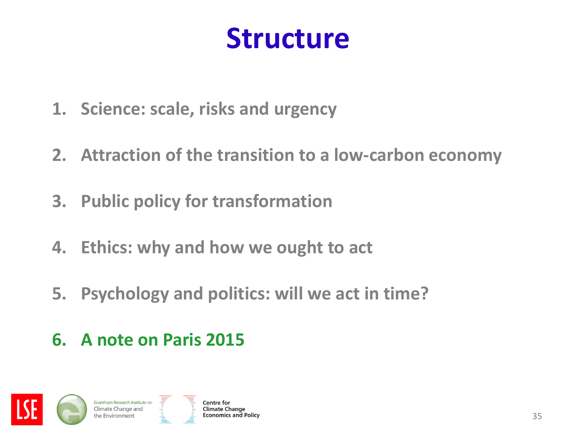# **Structure**

- **1. Science: scale, risks and urgency**
- **2. Attraction of the transition to a low-carbon economy**
- **3. Public policy for transformation**
- **4. Ethics: why and how we ought to act**
- **5. Psychology and politics: will we act in time?**

#### **6. A note on Paris 2015**

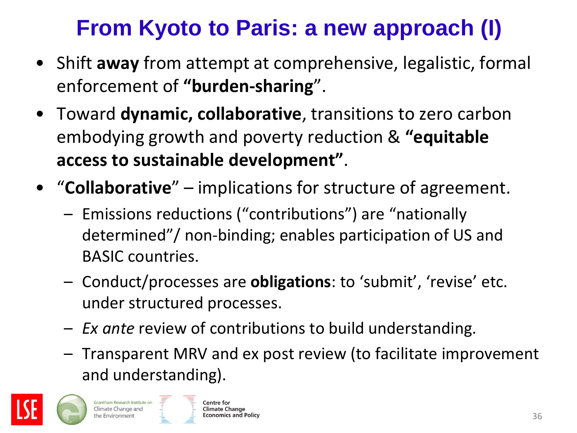### **From Kyoto to Paris: a new approach (I)**

- Shift **away** from attempt at comprehensive, legalistic, formal enforcement of **"burden-sharing**".
- Toward **dynamic, collaborative**, transitions to zero carbon embodying growth and poverty reduction & **"equitable access to sustainable development"**.
- "**Collaborative**" implications for structure of agreement.
	- Emissions reductions ("contributions") are "nationally determined"/ non-binding; enables participation of US and BASIC countries.
	- Conduct/processes are **obligations**: to 'submit', 'revise' etc. under structured processes.
	- *Ex ante* review of contributions to build understanding.
	- Transparent MRV and ex post review (to facilitate improvement and understanding).



Grantham Research Institute on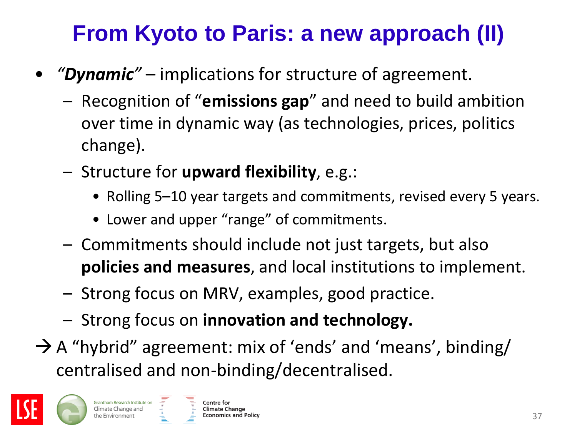## **From Kyoto to Paris: a new approach (II)**

- *"Dynamic"* implications for structure of agreement.
	- Recognition of "**emissions gap**" and need to build ambition over time in dynamic way (as technologies, prices, politics change).
	- Structure for **upward flexibility**, e.g.:
		- Rolling 5–10 year targets and commitments, revised every 5 years.
		- Lower and upper "range" of commitments.
	- Commitments should include not just targets, but also **policies and measures**, and local institutions to implement.
	- Strong focus on MRV, examples, good practice.
	- Strong focus on **innovation and technology.**
- $\rightarrow$  A "hybrid" agreement: mix of 'ends' and 'means', binding/ centralised and non-binding/decentralised.

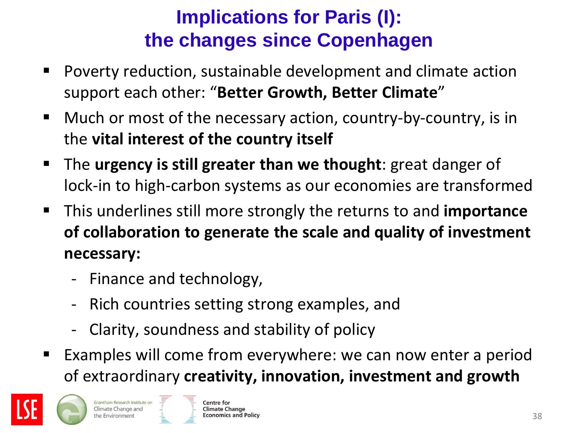#### **Implications for Paris (I): the changes since Copenhagen**

- Poverty reduction, sustainable development and climate action support each other: "**Better Growth, Better Climate**"
- Much or most of the necessary action, country-by-country, is in the **vital interest of the country itself**
- The **urgency is still greater than we thought**: great danger of lock-in to high-carbon systems as our economies are transformed
- This underlines still more strongly the returns to and **importance of collaboration to generate the scale and quality of investment necessary:**
	- Finance and technology,
	- Rich countries setting strong examples, and
	- Clarity, soundness and stability of policy
- Examples will come from everywhere: we can now enter a period of extraordinary **creativity, innovation, investment and growth**

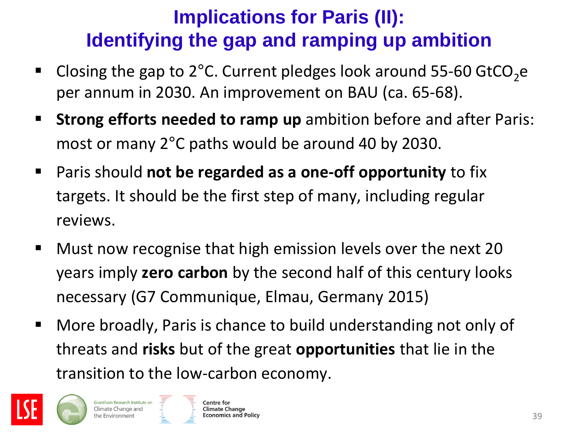#### **Implications for Paris (II): Identifying the gap and ramping up ambition**

- Closing the gap to  $2^{\circ}$ C. Current pledges look around 55-60 GtCO<sub>2</sub>e per annum in 2030. An improvement on BAU (ca. 65-68).
- **Strong efforts needed to ramp up** ambition before and after Paris: most or many 2°C paths would be around 40 by 2030.
- Paris should **not be regarded as a one-off opportunity** to fix targets. It should be the first step of many, including regular reviews.
- **Must now recognise that high emission levels over the next 20** years imply **zero carbon** by the second half of this century looks necessary (G7 Communique, Elmau, Germany 2015)
- More broadly, Paris is chance to build understanding not only of threats and **risks** but of the great **opportunities** that lie in the transition to the low-carbon economy.